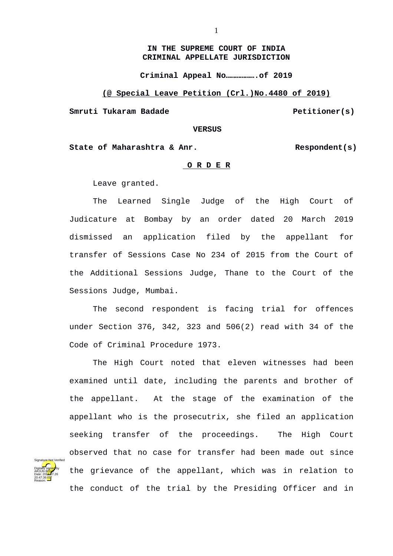### **IN THE SUPREME COURT OF INDIA CRIMINAL APPELLATE JURISDICTION**

**Criminal Appeal No……………….of 2019**

**(@ Special Leave Petition (Crl.)No.4480 of 2019)**

**Smruti Tukaram Badade Petitioner(s)** 

#### **VERSUS**

State of Maharashtra & Anr.<br>Respondent(s)

### **O R D E R**

Leave granted.

The Learned Single Judge of the High Court of Judicature at Bombay by an order dated 20 March 2019 dismissed an application filed by the appellant for transfer of Sessions Case No 234 of 2015 from the Court of the Additional Sessions Judge, Thane to the Court of the Sessions Judge, Mumbai.

The second respondent is facing trial for offences under Section 376, 342, 323 and 506(2) read with 34 of the Code of Criminal Procedure 1973.

The High Court noted that eleven witnesses had been examined until date, including the parents and brother of the appellant. At the stage of the examination of the appellant who is the prosecutrix, she filed an application seeking transfer of the proceedings. The High Court observed that no case for transfer had been made out since the grievance of the appellant, which was in relation to the conduct of the trial by the Presiding Officer and in

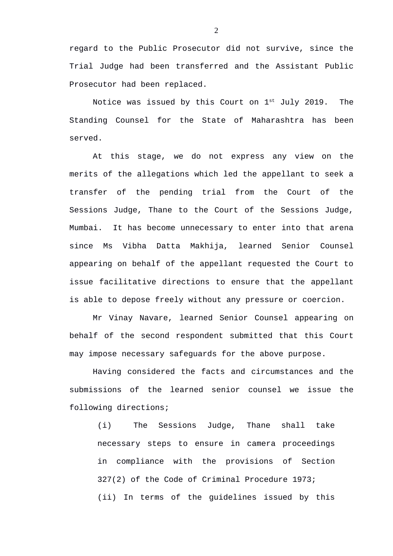regard to the Public Prosecutor did not survive, since the Trial Judge had been transferred and the Assistant Public Prosecutor had been replaced.

Notice was issued by this Court on  $1^{st}$  July 2019. The Standing Counsel for the State of Maharashtra has been served.

At this stage, we do not express any view on the merits of the allegations which led the appellant to seek a transfer of the pending trial from the Court of the Sessions Judge, Thane to the Court of the Sessions Judge, Mumbai. It has become unnecessary to enter into that arena since Ms Vibha Datta Makhija, learned Senior Counsel appearing on behalf of the appellant requested the Court to issue facilitative directions to ensure that the appellant is able to depose freely without any pressure or coercion.

Mr Vinay Navare, learned Senior Counsel appearing on behalf of the second respondent submitted that this Court may impose necessary safeguards for the above purpose.

Having considered the facts and circumstances and the submissions of the learned senior counsel we issue the following directions;

(i) The Sessions Judge, Thane shall take necessary steps to ensure in camera proceedings in compliance with the provisions of Section 327(2) of the Code of Criminal Procedure 1973; (ii) In terms of the guidelines issued by this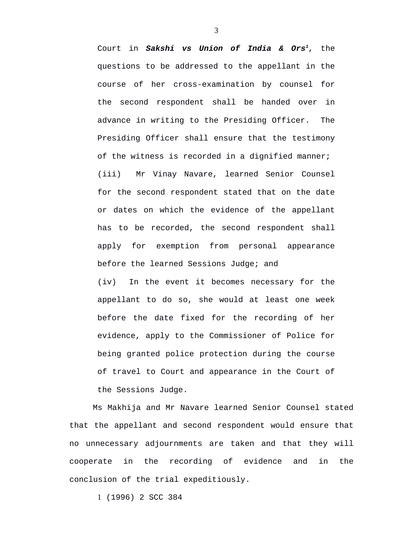Court in *Sakshi vs Union of India & Ors[1](#page-2-0)*, the questions to be addressed to the appellant in the course of her cross-examination by counsel for the second respondent shall be handed over in advance in writing to the Presiding Officer. The Presiding Officer shall ensure that the testimony of the witness is recorded in a dignified manner; (iii) Mr Vinay Navare, learned Senior Counsel for the second respondent stated that on the date or dates on which the evidence of the appellant has to be recorded, the second respondent shall apply for exemption from personal appearance before the learned Sessions Judge; and

(iv) In the event it becomes necessary for the appellant to do so, she would at least one week before the date fixed for the recording of her evidence, apply to the Commissioner of Police for being granted police protection during the course of travel to Court and appearance in the Court of the Sessions Judge.

Ms Makhija and Mr Navare learned Senior Counsel stated that the appellant and second respondent would ensure that no unnecessary adjournments are taken and that they will cooperate in the recording of evidence and in the conclusion of the trial expeditiously.

<span id="page-2-0"></span>1 (1996) 2 SCC 384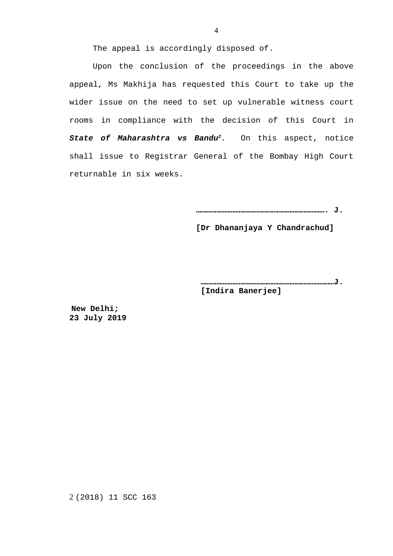The appeal is accordingly disposed of.

Upon the conclusion of the proceedings in the above appeal, Ms Makhija has requested this Court to take up the wider issue on the need to set up vulnerable witness court rooms in compliance with the decision of this Court in *State of Maharashtra vs Bandu[2](#page-3-0).* On this aspect, notice shall issue to Registrar General of the Bombay High Court returnable in six weeks.

**………………………………………………………………………. J.**

 **[Dr Dhananjaya Y Chandrachud]**

**…………………………………………………………………………J. [Indira Banerjee]**

**New Delhi; 23 July 2019**

<span id="page-3-0"></span>2 (2018) 11 SCC 163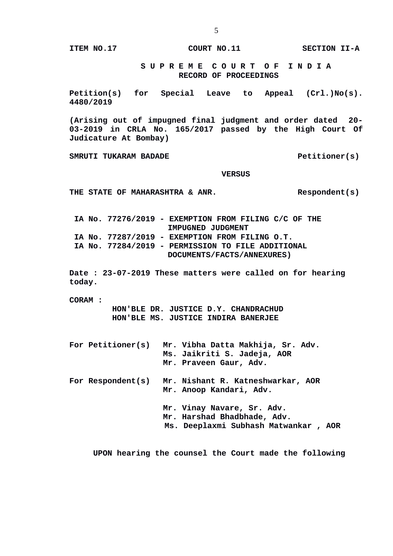**ITEM NO.17 COURT NO.11 SECTION II-A**

## **S U P R E M E C O U R T O F I N D I A RECORD OF PROCEEDINGS**

**Petition(s) for Special Leave to Appeal (Crl.)No(s). 4480/2019**

**(Arising out of impugned final judgment and order dated 20- 03-2019 in CRLA No. 165/2017 passed by the High Court Of Judicature At Bombay)**

SMRUTI TUKARAM BADADE **All and SCIENCE CONTROL** Petitioner(s)

#### **VERSUS**

**THE STATE OF MAHARASHTRA & ANR. Respondent(s)**

 **IA No. 77276/2019 - EXEMPTION FROM FILING C/C OF THE IMPUGNED JUDGMENT IA No. 77287/2019 - EXEMPTION FROM FILING O.T. IA No. 77284/2019 - PERMISSION TO FILE ADDITIONAL DOCUMENTS/FACTS/ANNEXURES)**

**Date : 23-07-2019 These matters were called on for hearing today.**

**CORAM :** 

 **HON'BLE DR. JUSTICE D.Y. CHANDRACHUD HON'BLE MS. JUSTICE INDIRA BANERJEE**

| For Petitioner(s) | Mr. Vibha Datta Makhija, Sr. Adv.<br>Ms. Jaikriti S. Jadeja, AOR<br>Mr. Praveen Gaur, Adv.        |
|-------------------|---------------------------------------------------------------------------------------------------|
| For Respondent(s) | Mr. Nishant R. Katneshwarkar, AOR<br>Mr. Anoop Kandari, Adv.                                      |
|                   | Mr. Vinay Navare, Sr. Adv.<br>Mr. Harshad Bhadbhade, Adv.<br>Ms. Deeplaxmi Subhash Matwankar, AOR |

 **UPON hearing the counsel the Court made the following**